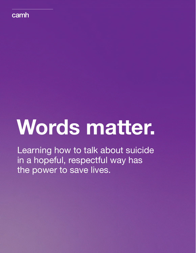

# **Words matter.**

Learning how to talk about suicide in a hopeful, respectful way has the power to save lives.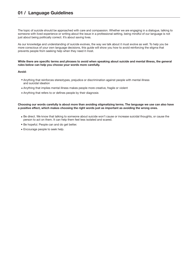The topic of suicide should be approached with care and compassion. Whether we are engaging in a dialogue, talking to someone with lived experience or writing about the issue in a professional setting, being mindful of our language is not just about being politically correct. It's about saving lives.

As our knowledge and understanding of suicide evolves, the way we talk about it must evolve as well. To help you be more conscious of your own language decisions, this guide will show you how to avoid reinforcing the stigma that prevents people from seeking help when they need it most.

### **While there are specific terms and phrases to avoid when speaking about suicide and mental illness, the general rules below can help you choose your words more carefully.**

## **Avoid:**

- Anything that reinforces stereotypes, prejudice or discrimination against people with mental illness and suicidal ideation
- Anything that implies mental illness makes people more creative, fragile or violent
- Anything that refers to or defines people by their diagnosis

## **Choosing our words carefully is about more than avoiding stigmatizing terms. The language we use can also have a positive effect, which makes choosing the right words just as important as avoiding the wrong ones.**

- Be direct. We know that talking to someone about suicide won't cause or increase suicidal thoughts, or cause the person to act on them. It can help them feel less isolated and scared.
- Be hopeful. People can and do get better.
- Encourage people to seek help.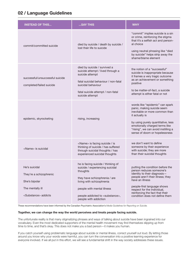# **02 / Language Guidelines**

| <b>INSTEAD OF THIS</b>                                                                                           | SAY THIS                                                                                                                                                                                                                                               | <b>WHY</b>                                                                                                                                                                                                                                                                              |
|------------------------------------------------------------------------------------------------------------------|--------------------------------------------------------------------------------------------------------------------------------------------------------------------------------------------------------------------------------------------------------|-----------------------------------------------------------------------------------------------------------------------------------------------------------------------------------------------------------------------------------------------------------------------------------------|
| commit/committed suicide                                                                                         | died by suicide / death by suicide /<br>lost their life to suicide                                                                                                                                                                                     | "commit" implies suicide is a sin<br>or crime, reinforcing the stigma<br>that it's a selfish act and person-<br>al choice<br>using neutral phrasing like "died<br>by suicide" helps strip away the<br>shame/blame element                                                               |
| successful/unsuccessful suicide<br>completed/failed suicide                                                      | died by suicide / survived a<br>suicide attempt / lived through a<br>suicide attempt<br>fatal suicidal behaviour / non-fatal<br>suicidal behaviour<br>fatal suicide attempt / non-fatal<br>suicide attempt                                             | the notion of a "successful"<br>suicide is inappropriate because<br>it frames a very tragic outcome<br>as an achievement or something<br>positive<br>to be matter-of-fact, a suicide<br>attempt is either fatal or not                                                                  |
| epidemic, skyrocketing                                                                                           | rising, increasing                                                                                                                                                                                                                                     | words like "epidemic" can spark<br>panic, making suicide seem<br>inevitable or more common than<br>it actually is<br>by using purely quantitative, less<br>emotionally charged terms like<br>"rising", we can avoid instilling a<br>sense of doom or hopelessness                       |
| <name> is suicidal</name>                                                                                        | <name> is facing suicide / is<br/>thinking of suicide / has suffered<br/>through suicidal thoughts / has<br/>experienced suicidal thoughts</name>                                                                                                      | we don't want to define<br>someone by their experience<br>with suicide; they are more<br>than their suicidal thoughts                                                                                                                                                                   |
| He's suicidal<br>They're a schizophrenic<br>She's bipolar<br>The mentally ill<br><substance> addicts</substance> | he is facing suicide / thinking of<br>suicide / experiencing suicidal<br>thoughts<br>they have schizophrenia / are<br>living with schizophrenia<br>people with mental illness<br>people addicted to <substance>,<br/>people with addiction</substance> | putting the condition before the<br>person reduces someone's<br>identity to their diagnosis-<br>people aren't their illness; they<br>have an illness<br>people-first language shows<br>respect for the individual,<br>reinforcing the fact that their<br>condition does not define them |

These recommendations have been informed by the Canadian Psychiatric Association's *Media Guidelines for Reporting on Suicide.*

## **Together, we can change the way the world perceives and treats people facing suicide.**

The unfortunate reality is that many stigmatizing phrases and ways of talking about suicide have been ingrained into our vocabulary. Even the most dedicated supporters of the mental health movement may find themselves slipping up from time to time, and that's okay. This does not make you a bad person—it makes you human.

If you catch yourself using problematic language about suicide or mental illness, correct yourself out loud. By letting those around you know why your words were harmful, you can turn the conversation into a positive learning experience for everyone involved. If we all put in this effort, we will see a fundamental shift in the way society addresses these issues.